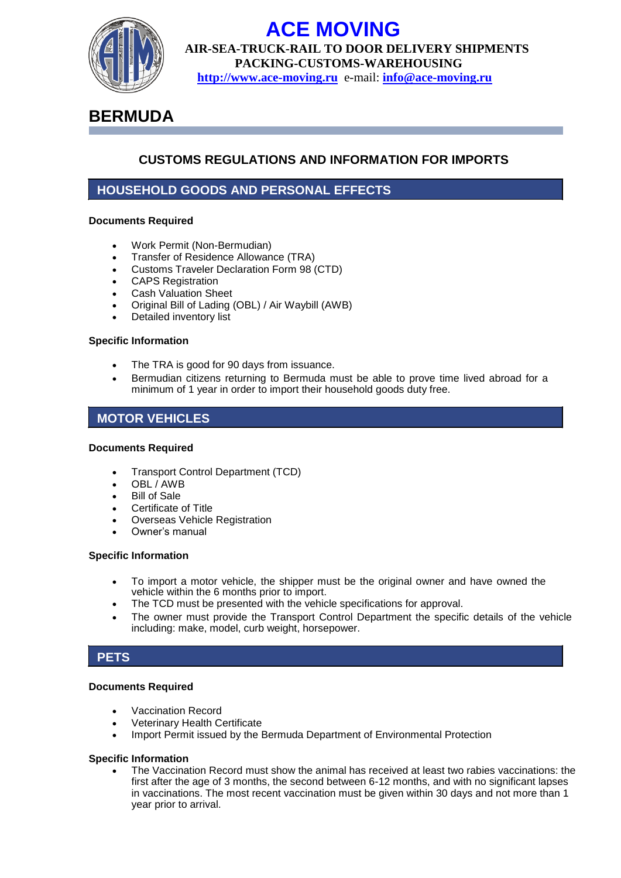

# **ACE MOVING**

**AIR-SEA-TRUCK-RAIL TO DOOR DELIVERY SHIPMENTS PACKING-CUSTOMS-WAREHOUSING http://www.ace-moving.ru** e-mail: **[info@ace-moving.ru](mailto:info@ace-moving.ru)**

## **BERMUDA**

## **CUSTOMS REGULATIONS AND INFORMATION FOR IMPORTS**

## **HOUSEHOLD GOODS AND PERSONAL EFFECTS**

#### **Documents Required**

- Work Permit (Non-Bermudian)
- Transfer of Residence Allowance (TRA)
- Customs Traveler Declaration Form 98 (CTD)
- CAPS Registration
- Cash Valuation Sheet
- Original Bill of Lading (OBL) / Air Waybill (AWB)
- Detailed inventory list

#### **Specific Information**

- The TRA is good for 90 days from issuance.
- Bermudian citizens returning to Bermuda must be able to prove time lived abroad for a minimum of 1 year in order to import their household goods duty free.

## **MOTOR VEHICLES**

#### **Documents Required**

- Transport Control Department (TCD)
- OBL / AWB
- Bill of Sale
- Certificate of Title
- Overseas Vehicle Registration
- Owner's manual

#### **Specific Information**

- To import a motor vehicle, the shipper must be the original owner and have owned the vehicle within the 6 months prior to import.
- The TCD must be presented with the vehicle specifications for approval.
- The owner must provide the Transport Control Department the specific details of the vehicle including: make, model, curb weight, horsepower.

## **PETS**

#### **Documents Required**

- Vaccination Record
- Veterinary Health Certificate
- Import Permit issued by the Bermuda Department of Environmental Protection

#### **Specific Information**

 The Vaccination Record must show the animal has received at least two rabies vaccinations: the first after the age of 3 months, the second between 6-12 months, and with no significant lapses in vaccinations. The most recent vaccination must be given within 30 days and not more than 1 year prior to arrival.